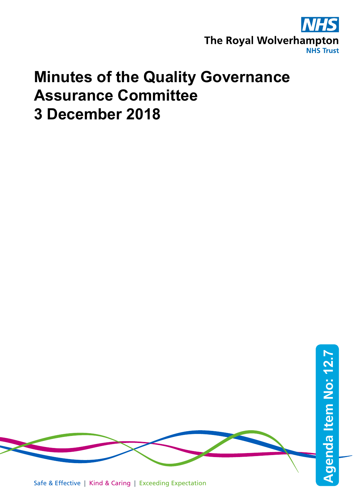

## **Minutes of the Quality Governance Assurance Committee 3 December 2018**

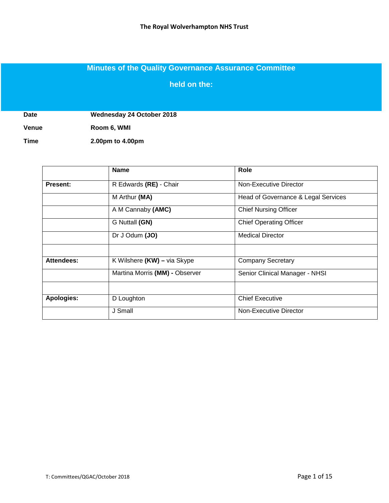## **Minutes of the Quality Governance Assurance Committee**

**held on the:**

**Date Wednesday 24 October 2018**

**Venue Room 6, WMI**

**Time 2.00pm to 4.00pm**

|                   | <b>Name</b>                    | Role                                |
|-------------------|--------------------------------|-------------------------------------|
| <b>Present:</b>   | R Edwards (RE) - Chair         | Non-Executive Director              |
|                   | M Arthur (MA)                  | Head of Governance & Legal Services |
|                   | A M Cannaby (AMC)              | <b>Chief Nursing Officer</b>        |
|                   | G Nuttall (GN)                 | <b>Chief Operating Officer</b>      |
|                   | Dr J Odum (JO)                 | <b>Medical Director</b>             |
|                   |                                |                                     |
| <b>Attendees:</b> | K Wilshere (KW) - via Skype    | <b>Company Secretary</b>            |
|                   | Martina Morris (MM) - Observer | Senior Clinical Manager - NHSI      |
|                   |                                |                                     |
| Apologies:        | D Loughton                     | <b>Chief Executive</b>              |
|                   | J Small                        | Non-Executive Director              |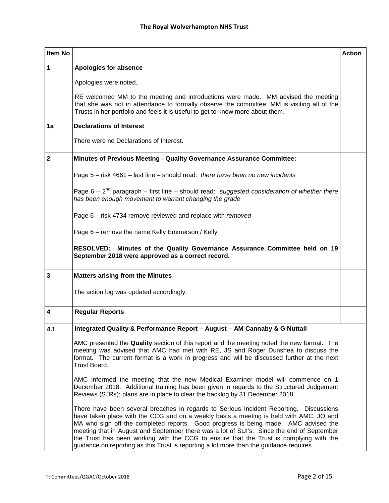| Item No                 |                                                                                                                                                                                                                                                                                                                                                                                                                                                                                                                                                           | <b>Action</b> |
|-------------------------|-----------------------------------------------------------------------------------------------------------------------------------------------------------------------------------------------------------------------------------------------------------------------------------------------------------------------------------------------------------------------------------------------------------------------------------------------------------------------------------------------------------------------------------------------------------|---------------|
| 1                       | Apologies for absence                                                                                                                                                                                                                                                                                                                                                                                                                                                                                                                                     |               |
|                         | Apologies were noted.                                                                                                                                                                                                                                                                                                                                                                                                                                                                                                                                     |               |
|                         | RE welcomed MM to the meeting and introductions were made. MM advised the meeting<br>that she was not in attendance to formally observe the committee; MM is visiting all of the<br>Trusts in her portfolio and feels it is useful to get to know more about them.                                                                                                                                                                                                                                                                                        |               |
| 1a                      | <b>Declarations of Interest</b>                                                                                                                                                                                                                                                                                                                                                                                                                                                                                                                           |               |
|                         | There were no Declarations of Interest.                                                                                                                                                                                                                                                                                                                                                                                                                                                                                                                   |               |
| $\overline{\mathbf{2}}$ | Minutes of Previous Meeting - Quality Governance Assurance Committee:                                                                                                                                                                                                                                                                                                                                                                                                                                                                                     |               |
|                         | Page 5 - risk 4661 - last line - should read: there have been no new incidents                                                                                                                                                                                                                                                                                                                                                                                                                                                                            |               |
|                         | Page $6 - 2nd$ paragraph – first line – should read: suggested consideration of whether there<br>has been enough movement to warrant changing the grade                                                                                                                                                                                                                                                                                                                                                                                                   |               |
|                         | Page 6 - risk 4734 remove reviewed and replace with removed                                                                                                                                                                                                                                                                                                                                                                                                                                                                                               |               |
|                         | Page 6 - remove the name Kelly Emmerson / Kelly                                                                                                                                                                                                                                                                                                                                                                                                                                                                                                           |               |
|                         | RESOLVED: Minutes of the Quality Governance Assurance Committee held on 19<br>September 2018 were approved as a correct record.                                                                                                                                                                                                                                                                                                                                                                                                                           |               |
| $\overline{\mathbf{3}}$ | <b>Matters arising from the Minutes</b>                                                                                                                                                                                                                                                                                                                                                                                                                                                                                                                   |               |
|                         | The action log was updated accordingly.                                                                                                                                                                                                                                                                                                                                                                                                                                                                                                                   |               |
| $\overline{\mathbf{4}}$ | <b>Regular Reports</b>                                                                                                                                                                                                                                                                                                                                                                                                                                                                                                                                    |               |
| 4.1                     | Integrated Quality & Performance Report - August - AM Cannaby & G Nuttall                                                                                                                                                                                                                                                                                                                                                                                                                                                                                 |               |
|                         | AMC presented the Quality section of this report and the meeting noted the new format. The<br>meeting was advised that AMC had met with RE, JS and Roger Dunshea to discuss the<br>format. The current format is a work in progress and will be discussed further at the next<br>Trust Board.                                                                                                                                                                                                                                                             |               |
|                         | AMC informed the meeting that the new Medical Examiner model will commence on 1<br>December 2018. Additional training has been given in regards to the Structured Judgement<br>Reviews (SJRs); plans are in place to clear the backlog by 31 December 2018.                                                                                                                                                                                                                                                                                               |               |
|                         | There have been several breaches in regards to Serious Incident Reporting. Discussions<br>have taken place with the CCG and on a weekly basis a meeting is held with AMC, JO and<br>MA who sign off the completed reports. Good progress is being made. AMC advised the<br>meeting that in August and September there was a lot of SUI's. Since the end of September<br>the Trust has been working with the CCG to ensure that the Trust is complying with the<br>guidance on reporting as this Trust is reporting a lot more than the guidance requires. |               |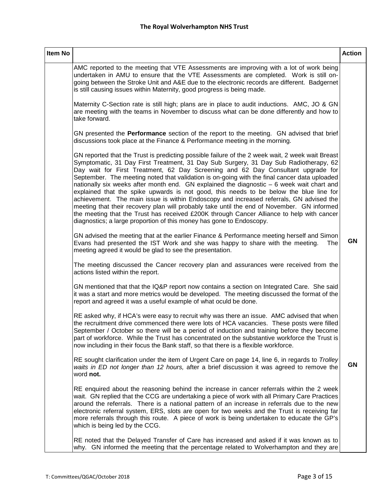| Item No |                                                                                                                                                                                                                                                                                                                                                                                                                                                                                                                                                                                                                                                                                                                                                                                                                                                                                                                                    | <b>Action</b> |
|---------|------------------------------------------------------------------------------------------------------------------------------------------------------------------------------------------------------------------------------------------------------------------------------------------------------------------------------------------------------------------------------------------------------------------------------------------------------------------------------------------------------------------------------------------------------------------------------------------------------------------------------------------------------------------------------------------------------------------------------------------------------------------------------------------------------------------------------------------------------------------------------------------------------------------------------------|---------------|
|         | AMC reported to the meeting that VTE Assessments are improving with a lot of work being<br>undertaken in AMU to ensure that the VTE Assessments are completed. Work is still on-<br>going between the Stroke Unit and A&E due to the electronic records are different. Badgernet<br>is still causing issues within Maternity, good progress is being made.                                                                                                                                                                                                                                                                                                                                                                                                                                                                                                                                                                         |               |
|         | Maternity C-Section rate is still high; plans are in place to audit inductions. AMC, JO & GN<br>are meeting with the teams in November to discuss what can be done differently and how to<br>take forward.                                                                                                                                                                                                                                                                                                                                                                                                                                                                                                                                                                                                                                                                                                                         |               |
|         | GN presented the Performance section of the report to the meeting. GN advised that brief<br>discussions took place at the Finance & Performance meeting in the morning.                                                                                                                                                                                                                                                                                                                                                                                                                                                                                                                                                                                                                                                                                                                                                            |               |
|         | GN reported that the Trust is predicting possible failure of the 2 week wait, 2 week wait Breast<br>Symptomatic, 31 Day First Treatment, 31 Day Sub Surgery, 31 Day Sub Radiotherapy, 62<br>Day wait for First Treatment, 62 Day Screening and 62 Day Consultant upgrade for<br>September. The meeting noted that validation is on-going with the final cancer data uploaded<br>nationally six weeks after month end. GN explained the diagnostic $-6$ week wait chart and<br>explained that the spike upwards is not good, this needs to be below the blue line for<br>achievement. The main issue is within Endoscopy and increased referrals, GN advised the<br>meeting that their recovery plan will probably take until the end of November. GN informed<br>the meeting that the Trust has received £200K through Cancer Alliance to help with cancer<br>diagnostics; a large proportion of this money has gone to Endoscopy. |               |
|         | GN advised the meeting that at the earlier Finance & Performance meeting herself and Simon<br>Evans had presented the IST Work and she was happy to share with the meeting.<br>The<br>meeting agreed it would be glad to see the presentation.                                                                                                                                                                                                                                                                                                                                                                                                                                                                                                                                                                                                                                                                                     | GN            |
|         | The meeting discussed the Cancer recovery plan and assurances were received from the<br>actions listed within the report.                                                                                                                                                                                                                                                                                                                                                                                                                                                                                                                                                                                                                                                                                                                                                                                                          |               |
|         | GN mentioned that that the IQ&P report now contains a section on Integrated Care. She said<br>it was a start and more metrics would be developed. The meeting discussed the format of the<br>report and agreed it was a useful example of what oculd be done.                                                                                                                                                                                                                                                                                                                                                                                                                                                                                                                                                                                                                                                                      |               |
|         | RE asked why, if HCA's were easy to recruit why was there an issue. AMC advised that when<br>the recruitment drive commenced there were lots of HCA vacancies. These posts were filled<br>September / October so there will be a period of induction and training before they become<br>part of workforce. While the Trust has concentrated on the substantive workforce the Trust is<br>now including in their focus the Bank staff, so that there is a flexible workforce.                                                                                                                                                                                                                                                                                                                                                                                                                                                       |               |
|         | RE sought clarification under the item of Urgent Care on page 14, line 6, in regards to Trolley<br>waits in ED not longer than 12 hours, after a brief discussion it was agreed to remove the<br>word not.                                                                                                                                                                                                                                                                                                                                                                                                                                                                                                                                                                                                                                                                                                                         | GN            |
|         | RE enquired about the reasoning behind the increase in cancer referrals within the 2 week<br>wait. GN replied that the CCG are undertaking a piece of work with all Primary Care Practices<br>around the referrals. There is a national pattern of an increase in referrals due to the new<br>electronic referral system, ERS, slots are open for two weeks and the Trust is receiving far<br>more referrals through this route. A piece of work is being undertaken to educate the GP's<br>which is being led by the CCG.                                                                                                                                                                                                                                                                                                                                                                                                         |               |
|         | RE noted that the Delayed Transfer of Care has increased and asked if it was known as to<br>why. GN informed the meeting that the percentage related to Wolverhampton and they are                                                                                                                                                                                                                                                                                                                                                                                                                                                                                                                                                                                                                                                                                                                                                 |               |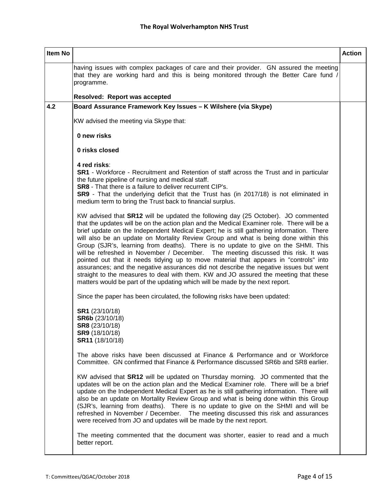| <b>Item No</b> |                                                                                                                                                                                                                                                                                                                                                                                                                                                                                                                                                                                                                                                                                                                                                                                                                                                                                                        | <b>Action</b> |
|----------------|--------------------------------------------------------------------------------------------------------------------------------------------------------------------------------------------------------------------------------------------------------------------------------------------------------------------------------------------------------------------------------------------------------------------------------------------------------------------------------------------------------------------------------------------------------------------------------------------------------------------------------------------------------------------------------------------------------------------------------------------------------------------------------------------------------------------------------------------------------------------------------------------------------|---------------|
|                | having issues with complex packages of care and their provider. GN assured the meeting<br>that they are working hard and this is being monitored through the Better Care fund /<br>programme.                                                                                                                                                                                                                                                                                                                                                                                                                                                                                                                                                                                                                                                                                                          |               |
|                | <b>Resolved: Report was accepted</b>                                                                                                                                                                                                                                                                                                                                                                                                                                                                                                                                                                                                                                                                                                                                                                                                                                                                   |               |
| 4.2            | Board Assurance Framework Key Issues - K Wilshere (via Skype)                                                                                                                                                                                                                                                                                                                                                                                                                                                                                                                                                                                                                                                                                                                                                                                                                                          |               |
|                | KW advised the meeting via Skype that:                                                                                                                                                                                                                                                                                                                                                                                                                                                                                                                                                                                                                                                                                                                                                                                                                                                                 |               |
|                | 0 new risks                                                                                                                                                                                                                                                                                                                                                                                                                                                                                                                                                                                                                                                                                                                                                                                                                                                                                            |               |
|                | 0 risks closed                                                                                                                                                                                                                                                                                                                                                                                                                                                                                                                                                                                                                                                                                                                                                                                                                                                                                         |               |
|                | 4 red risks:<br>SR1 - Workforce - Recruitment and Retention of staff across the Trust and in particular<br>the future pipeline of nursing and medical staff.<br><b>SR8</b> - That there is a failure to deliver recurrent CIP's.<br>SR9 - That the underlying deficit that the Trust has (in 2017/18) is not eliminated in<br>medium term to bring the Trust back to financial surplus.                                                                                                                                                                                                                                                                                                                                                                                                                                                                                                                |               |
|                | KW advised that SR12 will be updated the following day (25 October). JO commented<br>that the updates will be on the action plan and the Medical Examiner role. There will be a<br>brief update on the Independent Medical Expert; he is still gathering information. There<br>will also be an update on Mortality Review Group and what is being done within this<br>Group (SJR's, learning from deaths). There is no update to give on the SHMI. This<br>will be refreshed in November / December. The meeting discussed this risk. It was<br>pointed out that it needs tidying up to move material that appears in "controls" into<br>assurances; and the negative assurances did not describe the negative issues but went<br>straight to the measures to deal with them. KW and JO assured the meeting that these<br>matters would be part of the updating which will be made by the next report. |               |
|                | Since the paper has been circulated, the following risks have been updated:                                                                                                                                                                                                                                                                                                                                                                                                                                                                                                                                                                                                                                                                                                                                                                                                                            |               |
|                | SR1 (23/10/18)<br>SR6b (23/10/18)<br>SR8 (23/10/18)<br>SR9 (18/10/18)<br>SR11 (18/10/18)                                                                                                                                                                                                                                                                                                                                                                                                                                                                                                                                                                                                                                                                                                                                                                                                               |               |
|                | The above risks have been discussed at Finance & Performance and or Workforce<br>Committee. GN confirmed that Finance & Performance discussed SR6b and SR8 earlier.                                                                                                                                                                                                                                                                                                                                                                                                                                                                                                                                                                                                                                                                                                                                    |               |
|                | KW advised that <b>SR12</b> will be updated on Thursday morning. JO commented that the<br>updates will be on the action plan and the Medical Examiner role. There will be a brief<br>update on the Independent Medical Expert as he is still gathering information. There will<br>also be an update on Mortality Review Group and what is being done within this Group<br>(SJR's, learning from deaths). There is no update to give on the SHMI and will be<br>refreshed in November / December. The meeting discussed this risk and assurances<br>were received from JO and updates will be made by the next report.                                                                                                                                                                                                                                                                                  |               |
|                | The meeting commented that the document was shorter, easier to read and a much<br>better report.                                                                                                                                                                                                                                                                                                                                                                                                                                                                                                                                                                                                                                                                                                                                                                                                       |               |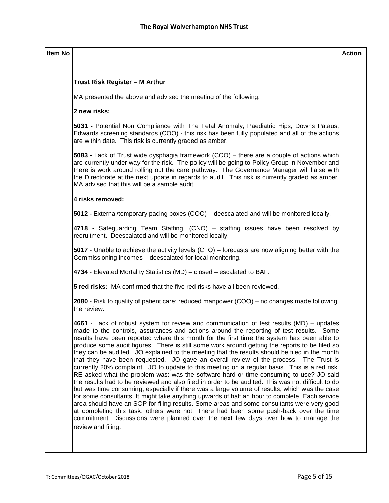| Item No |                                                                                                                                                                                                                                                                                                                                                                                                                                                                                                                                                                                                                                                                                                                                                                                                                                                                                                                                                                                                                                                                                                                                                                                                                                                                                                                                                                                       | <b>Action</b> |
|---------|---------------------------------------------------------------------------------------------------------------------------------------------------------------------------------------------------------------------------------------------------------------------------------------------------------------------------------------------------------------------------------------------------------------------------------------------------------------------------------------------------------------------------------------------------------------------------------------------------------------------------------------------------------------------------------------------------------------------------------------------------------------------------------------------------------------------------------------------------------------------------------------------------------------------------------------------------------------------------------------------------------------------------------------------------------------------------------------------------------------------------------------------------------------------------------------------------------------------------------------------------------------------------------------------------------------------------------------------------------------------------------------|---------------|
|         |                                                                                                                                                                                                                                                                                                                                                                                                                                                                                                                                                                                                                                                                                                                                                                                                                                                                                                                                                                                                                                                                                                                                                                                                                                                                                                                                                                                       |               |
|         | Trust Risk Register - M Arthur                                                                                                                                                                                                                                                                                                                                                                                                                                                                                                                                                                                                                                                                                                                                                                                                                                                                                                                                                                                                                                                                                                                                                                                                                                                                                                                                                        |               |
|         | MA presented the above and advised the meeting of the following:                                                                                                                                                                                                                                                                                                                                                                                                                                                                                                                                                                                                                                                                                                                                                                                                                                                                                                                                                                                                                                                                                                                                                                                                                                                                                                                      |               |
|         | 2 new risks:                                                                                                                                                                                                                                                                                                                                                                                                                                                                                                                                                                                                                                                                                                                                                                                                                                                                                                                                                                                                                                                                                                                                                                                                                                                                                                                                                                          |               |
|         | 5031 - Potential Non Compliance with The Fetal Anomaly, Paediatric Hips, Downs Pataus,<br>Edwards screening standards (COO) - this risk has been fully populated and all of the actions<br>are within date. This risk is currently graded as amber.                                                                                                                                                                                                                                                                                                                                                                                                                                                                                                                                                                                                                                                                                                                                                                                                                                                                                                                                                                                                                                                                                                                                   |               |
|         | 5083 - Lack of Trust wide dysphagia framework (COO) – there are a couple of actions which<br>are currently under way for the risk. The policy will be going to Policy Group in November and<br>there is work around rolling out the care pathway. The Governance Manager will liaise with<br>the Directorate at the next update in regards to audit. This risk is currently graded as amber.<br>MA advised that this will be a sample audit.                                                                                                                                                                                                                                                                                                                                                                                                                                                                                                                                                                                                                                                                                                                                                                                                                                                                                                                                          |               |
|         | 4 risks removed:                                                                                                                                                                                                                                                                                                                                                                                                                                                                                                                                                                                                                                                                                                                                                                                                                                                                                                                                                                                                                                                                                                                                                                                                                                                                                                                                                                      |               |
|         | 5012 - External/temporary pacing boxes (COO) – deescalated and will be monitored locally.                                                                                                                                                                                                                                                                                                                                                                                                                                                                                                                                                                                                                                                                                                                                                                                                                                                                                                                                                                                                                                                                                                                                                                                                                                                                                             |               |
|         | 4718 - Safeguarding Team Staffing. (CNO) – staffing issues have been resolved by<br>recruitment. Deescalated and will be monitored locally.                                                                                                                                                                                                                                                                                                                                                                                                                                                                                                                                                                                                                                                                                                                                                                                                                                                                                                                                                                                                                                                                                                                                                                                                                                           |               |
|         | 5017 - Unable to achieve the activity levels (CFO) – forecasts are now aligning better with the<br>Commissioning incomes - deescalated for local monitoring.                                                                                                                                                                                                                                                                                                                                                                                                                                                                                                                                                                                                                                                                                                                                                                                                                                                                                                                                                                                                                                                                                                                                                                                                                          |               |
|         | 4734 - Elevated Mortality Statistics (MD) - closed - escalated to BAF.                                                                                                                                                                                                                                                                                                                                                                                                                                                                                                                                                                                                                                                                                                                                                                                                                                                                                                                                                                                                                                                                                                                                                                                                                                                                                                                |               |
|         | <b>5 red risks:</b> MA confirmed that the five red risks have all been reviewed.                                                                                                                                                                                                                                                                                                                                                                                                                                                                                                                                                                                                                                                                                                                                                                                                                                                                                                                                                                                                                                                                                                                                                                                                                                                                                                      |               |
|         | 2080 - Risk to quality of patient care: reduced manpower (COO) – no changes made following<br>the review.                                                                                                                                                                                                                                                                                                                                                                                                                                                                                                                                                                                                                                                                                                                                                                                                                                                                                                                                                                                                                                                                                                                                                                                                                                                                             |               |
|         | 4661 - Lack of robust system for review and communication of test results (MD) – updates<br>made to the controls, assurances and actions around the reporting of test results. Some<br>results have been reported where this month for the first time the system has been able to<br>produce some audit figures. There is still some work around getting the reports to be filed so<br>they can be audited. JO explained to the meeting that the results should be filed in the month<br>that they have been requested. JO gave an overall review of the process. The Trust is<br>currently 20% complaint. JO to update to this meeting on a regular basis. This is a red risk.<br>RE asked what the problem was: was the software hard or time-consuming to use? JO said<br>the results had to be reviewed and also filed in order to be audited. This was not difficult to do<br>but was time consuming, especially if there was a large volume of results, which was the case<br>for some consultants. It might take anything upwards of half an hour to complete. Each service<br>area should have an SOP for filing results. Some areas and some consultants were very good<br>at completing this task, others were not. There had been some push-back over the time<br>commitment. Discussions were planned over the next few days over how to manage the<br>review and filing. |               |
|         |                                                                                                                                                                                                                                                                                                                                                                                                                                                                                                                                                                                                                                                                                                                                                                                                                                                                                                                                                                                                                                                                                                                                                                                                                                                                                                                                                                                       |               |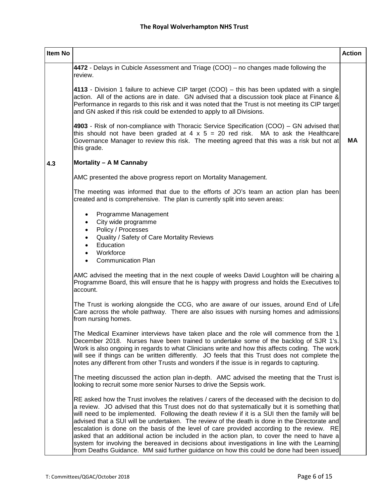| Item No |                                                                                                                                                                                                                                                                                                                                                                                                                                                                                                                                                                                                                                                                                                                                                                                             | <b>Action</b> |
|---------|---------------------------------------------------------------------------------------------------------------------------------------------------------------------------------------------------------------------------------------------------------------------------------------------------------------------------------------------------------------------------------------------------------------------------------------------------------------------------------------------------------------------------------------------------------------------------------------------------------------------------------------------------------------------------------------------------------------------------------------------------------------------------------------------|---------------|
|         | 4472 - Delays in Cubicle Assessment and Triage (COO) – no changes made following the<br>review.                                                                                                                                                                                                                                                                                                                                                                                                                                                                                                                                                                                                                                                                                             |               |
|         | 4113 - Division 1 failure to achieve CIP target (COO) – this has been updated with a single<br>action. All of the actions are in date. GN advised that a discussion took place at Finance &<br>Performance in regards to this risk and it was noted that the Trust is not meeting its CIP target<br>and GN asked if this risk could be extended to apply to all Divisions.                                                                                                                                                                                                                                                                                                                                                                                                                  |               |
|         | 4903 - Risk of non-compliance with Thoracic Service Specification (COO) – GN advised that<br>this should not have been graded at $4 \times 5 = 20$ red risk. MA to ask the Healthcare<br>Governance Manager to review this risk. The meeting agreed that this was a risk but not at<br>this grade.                                                                                                                                                                                                                                                                                                                                                                                                                                                                                          | МA            |
| 4.3     | Mortality - A M Cannaby                                                                                                                                                                                                                                                                                                                                                                                                                                                                                                                                                                                                                                                                                                                                                                     |               |
|         | AMC presented the above progress report on Mortality Management.                                                                                                                                                                                                                                                                                                                                                                                                                                                                                                                                                                                                                                                                                                                            |               |
|         | The meeting was informed that due to the efforts of JO's team an action plan has been<br>created and is comprehensive. The plan is currently split into seven areas:                                                                                                                                                                                                                                                                                                                                                                                                                                                                                                                                                                                                                        |               |
|         | Programme Management<br>$\bullet$<br>City wide programme<br>$\bullet$<br>Policy / Processes<br>$\bullet$<br>Quality / Safety of Care Mortality Reviews<br>$\bullet$<br>Education<br>$\bullet$<br>Workforce<br>$\bullet$<br><b>Communication Plan</b><br>$\bullet$                                                                                                                                                                                                                                                                                                                                                                                                                                                                                                                           |               |
|         | AMC advised the meeting that in the next couple of weeks David Loughton will be chairing a<br>Programme Board, this will ensure that he is happy with progress and holds the Executives to<br>account.                                                                                                                                                                                                                                                                                                                                                                                                                                                                                                                                                                                      |               |
|         | The Trust is working alongside the CCG, who are aware of our issues, around End of Life<br>Care across the whole pathway. There are also issues with nursing homes and admissions<br>from nursing homes.                                                                                                                                                                                                                                                                                                                                                                                                                                                                                                                                                                                    |               |
|         | The Medical Examiner interviews have taken place and the role will commence from the 1<br>December 2018. Nurses have been trained to undertake some of the backlog of SJR 1's.<br>Work is also ongoing in regards to what Clinicians write and how this affects coding. The work<br>will see if things can be written differently. JO feels that this Trust does not complete the<br>notes any different from other Trusts and wonders if the issue is in regards to capturing.                                                                                                                                                                                                                                                                                                             |               |
|         | The meeting discussed the action plan in-depth. AMC advised the meeting that the Trust is<br>looking to recruit some more senior Nurses to drive the Sepsis work.                                                                                                                                                                                                                                                                                                                                                                                                                                                                                                                                                                                                                           |               |
|         | RE asked how the Trust involves the relatives / carers of the deceased with the decision to do<br>a review. JO advised that this Trust does not do that systematically but it is something that<br>will need to be implemented. Following the death review if it is a SUI then the family will be<br>advised that a SUI will be undertaken. The review of the death is done in the Directorate and<br>escalation is done on the basis of the level of care provided according to the review. RE<br>asked that an additional action be included in the action plan, to cover the need to have a<br>system for involving the bereaved in decisions about investigations in line with the Learning<br>from Deaths Guidance. MM said further guidance on how this could be done had been issued |               |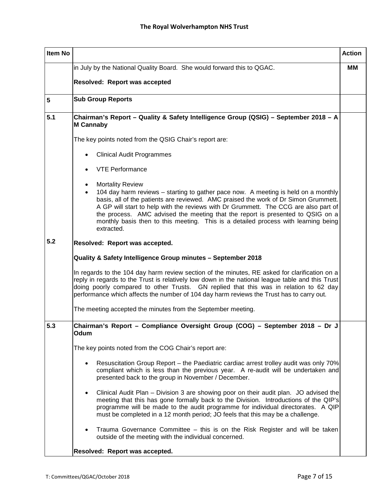| <b>Item No</b>  | <b>Action</b>                                                                                                                                                                                                                                                                                                                                                                                                                                                                                  |  |  |  |  |  |  |
|-----------------|------------------------------------------------------------------------------------------------------------------------------------------------------------------------------------------------------------------------------------------------------------------------------------------------------------------------------------------------------------------------------------------------------------------------------------------------------------------------------------------------|--|--|--|--|--|--|
|                 | in July by the National Quality Board. She would forward this to QGAC.                                                                                                                                                                                                                                                                                                                                                                                                                         |  |  |  |  |  |  |
|                 | Resolved: Report was accepted                                                                                                                                                                                                                                                                                                                                                                                                                                                                  |  |  |  |  |  |  |
| $5\phantom{.0}$ | <b>Sub Group Reports</b>                                                                                                                                                                                                                                                                                                                                                                                                                                                                       |  |  |  |  |  |  |
| 5.1             | Chairman's Report - Quality & Safety Intelligence Group (QSIG) - September 2018 - A<br><b>M Cannaby</b>                                                                                                                                                                                                                                                                                                                                                                                        |  |  |  |  |  |  |
|                 | The key points noted from the QSIG Chair's report are:                                                                                                                                                                                                                                                                                                                                                                                                                                         |  |  |  |  |  |  |
|                 | <b>Clinical Audit Programmes</b>                                                                                                                                                                                                                                                                                                                                                                                                                                                               |  |  |  |  |  |  |
|                 | <b>VTE Performance</b>                                                                                                                                                                                                                                                                                                                                                                                                                                                                         |  |  |  |  |  |  |
|                 | <b>Mortality Review</b><br>$\bullet$<br>104 day harm reviews – starting to gather pace now. A meeting is held on a monthly<br>basis, all of the patients are reviewed. AMC praised the work of Dr Simon Grummett.<br>A GP will start to help with the reviews with Dr Grummett. The CCG are also part of<br>the process. AMC advised the meeting that the report is presented to QSIG on a<br>monthly basis then to this meeting. This is a detailed process with learning being<br>extracted. |  |  |  |  |  |  |
| 5.2             | Resolved: Report was accepted.                                                                                                                                                                                                                                                                                                                                                                                                                                                                 |  |  |  |  |  |  |
|                 | Quality & Safety Intelligence Group minutes - September 2018                                                                                                                                                                                                                                                                                                                                                                                                                                   |  |  |  |  |  |  |
|                 | In regards to the 104 day harm review section of the minutes, RE asked for clarification on a<br>reply in regards to the Trust is relatively low down in the national league table and this Trust<br>doing poorly compared to other Trusts. GN replied that this was in relation to 62 day<br>performance which affects the number of 104 day harm reviews the Trust has to carry out.                                                                                                         |  |  |  |  |  |  |
|                 | The meeting accepted the minutes from the September meeting.                                                                                                                                                                                                                                                                                                                                                                                                                                   |  |  |  |  |  |  |
| 5.3             | Chairman's Report - Compliance Oversight Group (COG) - September 2018 - Dr J<br>Odum                                                                                                                                                                                                                                                                                                                                                                                                           |  |  |  |  |  |  |
|                 | The key points noted from the COG Chair's report are:                                                                                                                                                                                                                                                                                                                                                                                                                                          |  |  |  |  |  |  |
|                 | Resuscitation Group Report – the Paediatric cardiac arrest trolley audit was only 70%<br>compliant which is less than the previous year. A re-audit will be undertaken and<br>presented back to the group in November / December.                                                                                                                                                                                                                                                              |  |  |  |  |  |  |
|                 | Clinical Audit Plan – Division 3 are showing poor on their audit plan. JO advised the<br>$\bullet$<br>meeting that this has gone formally back to the Division. Introductions of the QIP's<br>programme will be made to the audit programme for individual directorates. A QIP<br>must be completed in a 12 month period; JO feels that this may be a challenge.                                                                                                                               |  |  |  |  |  |  |
|                 | Trauma Governance Committee - this is on the Risk Register and will be taken<br>outside of the meeting with the individual concerned.                                                                                                                                                                                                                                                                                                                                                          |  |  |  |  |  |  |
|                 | Resolved: Report was accepted.                                                                                                                                                                                                                                                                                                                                                                                                                                                                 |  |  |  |  |  |  |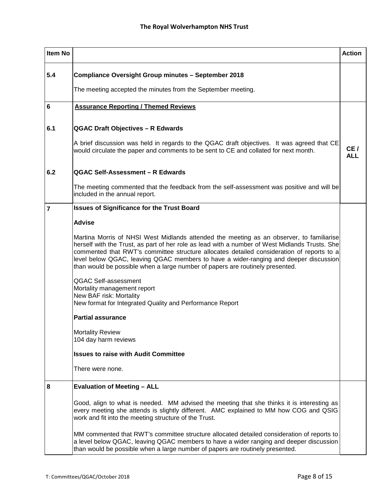| <b>Item No</b> |                                                                                                                                                                                                                                                                                                                                                                                                                                                                  | <b>Action</b>     |
|----------------|------------------------------------------------------------------------------------------------------------------------------------------------------------------------------------------------------------------------------------------------------------------------------------------------------------------------------------------------------------------------------------------------------------------------------------------------------------------|-------------------|
| 5.4            | <b>Compliance Oversight Group minutes - September 2018</b>                                                                                                                                                                                                                                                                                                                                                                                                       |                   |
|                | The meeting accepted the minutes from the September meeting.                                                                                                                                                                                                                                                                                                                                                                                                     |                   |
| 6              | <b>Assurance Reporting / Themed Reviews</b>                                                                                                                                                                                                                                                                                                                                                                                                                      |                   |
| 6.1            | <b>QGAC Draft Objectives - R Edwards</b>                                                                                                                                                                                                                                                                                                                                                                                                                         |                   |
|                | A brief discussion was held in regards to the QGAC draft objectives. It was agreed that CE<br>would circulate the paper and comments to be sent to CE and collated for next month.                                                                                                                                                                                                                                                                               | CE/<br><b>ALL</b> |
| 6.2            | QGAC Self-Assessment - R Edwards                                                                                                                                                                                                                                                                                                                                                                                                                                 |                   |
|                | The meeting commented that the feedback from the self-assessment was positive and will be<br>included in the annual report.                                                                                                                                                                                                                                                                                                                                      |                   |
| $\overline{7}$ | <b>Issues of Significance for the Trust Board</b>                                                                                                                                                                                                                                                                                                                                                                                                                |                   |
|                | <b>Advise</b>                                                                                                                                                                                                                                                                                                                                                                                                                                                    |                   |
|                | Martina Morris of NHSI West Midlands attended the meeting as an observer, to familiarise<br>herself with the Trust, as part of her role as lead with a number of West Midlands Trusts. She<br>commented that RWT's committee structure allocates detailed consideration of reports to a<br>level below QGAC, leaving QGAC members to have a wider-ranging and deeper discussion<br>than would be possible when a large number of papers are routinely presented. |                   |
|                | <b>QGAC Self-assessment</b><br>Mortality management report<br>New BAF risk: Mortality<br>New format for Integrated Quality and Performance Report                                                                                                                                                                                                                                                                                                                |                   |
|                | <b>Partial assurance</b>                                                                                                                                                                                                                                                                                                                                                                                                                                         |                   |
|                | <b>Mortality Review</b><br>104 day harm reviews                                                                                                                                                                                                                                                                                                                                                                                                                  |                   |
|                | <b>Issues to raise with Audit Committee</b>                                                                                                                                                                                                                                                                                                                                                                                                                      |                   |
|                | There were none.                                                                                                                                                                                                                                                                                                                                                                                                                                                 |                   |
| 8              | <b>Evaluation of Meeting - ALL</b>                                                                                                                                                                                                                                                                                                                                                                                                                               |                   |
|                | Good, align to what is needed. MM advised the meeting that she thinks it is interesting as<br>every meeting she attends is slightly different. AMC explained to MM how COG and QSIG<br>work and fit into the meeting structure of the Trust.                                                                                                                                                                                                                     |                   |
|                | MM commented that RWT's committee structure allocated detailed consideration of reports to<br>a level below QGAC, leaving QGAC members to have a wider ranging and deeper discussion<br>than would be possible when a large number of papers are routinely presented.                                                                                                                                                                                            |                   |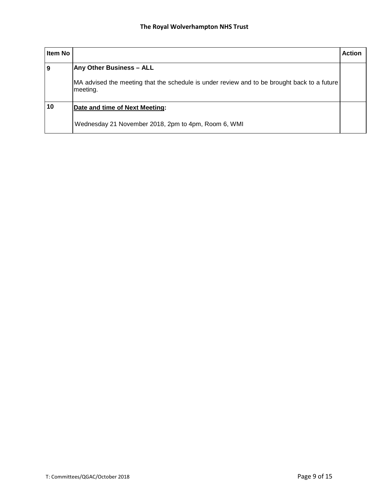| Item No |                                                                                                         | <b>Action</b> |
|---------|---------------------------------------------------------------------------------------------------------|---------------|
| 9       | <b>Any Other Business - ALL</b>                                                                         |               |
|         | MA advised the meeting that the schedule is under review and to be brought back to a future<br>meeting. |               |
| 10      | Date and time of Next Meeting:                                                                          |               |
|         | Wednesday 21 November 2018, 2pm to 4pm, Room 6, WMI                                                     |               |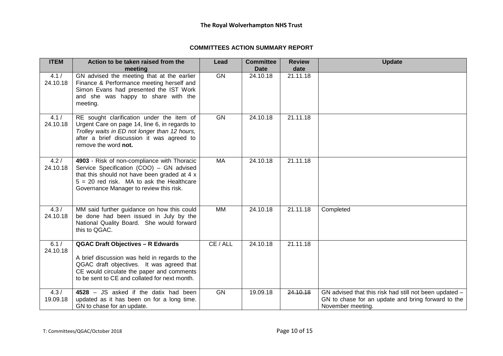## **COMMITTEES ACTION SUMMARY REPORT**

| <b>ITEM</b>       | Action to be taken raised from the<br>meeting                                                                                                                                                                                        | Lead      | <b>Committee</b><br><b>Date</b> | <b>Review</b><br>date | <b>Update</b>                                                                                                                     |
|-------------------|--------------------------------------------------------------------------------------------------------------------------------------------------------------------------------------------------------------------------------------|-----------|---------------------------------|-----------------------|-----------------------------------------------------------------------------------------------------------------------------------|
| 4.1 /<br>24.10.18 | GN advised the meeting that at the earlier<br>Finance & Performance meeting herself and<br>Simon Evans had presented the IST Work<br>and she was happy to share with the<br>meeting.                                                 | <b>GN</b> | 24.10.18                        | 21.11.18              |                                                                                                                                   |
| 4.1 /<br>24.10.18 | RE sought clarification under the item of<br>Urgent Care on page 14, line 6, in regards to<br>Trolley waits in ED not longer than 12 hours,<br>after a brief discussion it was agreed to<br>remove the word not.                     | <b>GN</b> | 24.10.18                        | 21.11.18              |                                                                                                                                   |
| 4.2/<br>24.10.18  | 4903 - Risk of non-compliance with Thoracic<br>Service Specification (COO) - GN advised<br>that this should not have been graded at 4 x<br>$5 = 20$ red risk. MA to ask the Healthcare<br>Governance Manager to review this risk.    | <b>MA</b> | 24.10.18                        | 21.11.18              |                                                                                                                                   |
| 4.3/<br>24.10.18  | MM said further guidance on how this could<br>be done had been issued in July by the<br>National Quality Board. She would forward<br>this to QGAC.                                                                                   | <b>MM</b> | 24.10.18                        | 21.11.18              | Completed                                                                                                                         |
| 6.1/<br>24.10.18  | <b>QGAC Draft Objectives - R Edwards</b><br>A brief discussion was held in regards to the<br>QGAC draft objectives. It was agreed that<br>CE would circulate the paper and comments<br>to be sent to CE and collated for next month. | CE / ALL  | 24.10.18                        | 21.11.18              |                                                                                                                                   |
| 4.3/<br>19.09.18  | 4528 - JS asked if the datix had been<br>updated as it has been on for a long time.<br>GN to chase for an update.                                                                                                                    | <b>GN</b> | 19.09.18                        | 24.10.18              | GN advised that this risk had still not been updated -<br>GN to chase for an update and bring forward to the<br>November meeting. |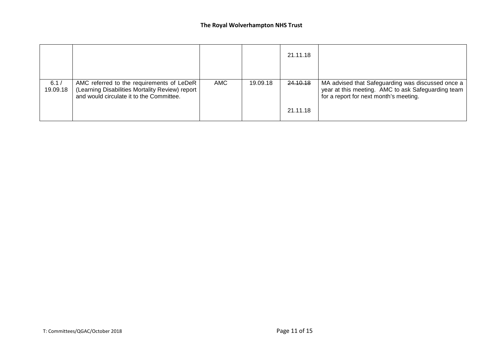|                  |                                                                                                                                          |     |          | 21.11.18 |                                                                                                                                                   |
|------------------|------------------------------------------------------------------------------------------------------------------------------------------|-----|----------|----------|---------------------------------------------------------------------------------------------------------------------------------------------------|
| 6.1/<br>19.09.18 | AMC referred to the requirements of LeDeR<br>(Learning Disabilities Mortality Review) report<br>and would circulate it to the Committee. | AMC | 19.09.18 | 24.10.18 | MA advised that Safeguarding was discussed once a<br>year at this meeting. AMC to ask Safeguarding team<br>for a report for next month's meeting. |
|                  |                                                                                                                                          |     |          | 21.11.18 |                                                                                                                                                   |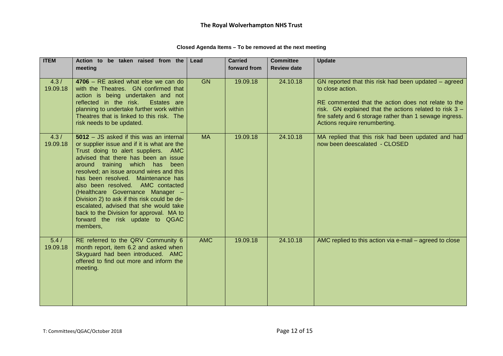| <b>ITEM</b>      | Action to be taken raised from the<br>meeting                                                                                                                                                                                                                                                                                                                                                                                                                                                                                                           | Lead       | <b>Carried</b><br>forward from | <b>Committee</b><br><b>Review date</b> | <b>Update</b>                                                                                                                                                                                                                                                                            |
|------------------|---------------------------------------------------------------------------------------------------------------------------------------------------------------------------------------------------------------------------------------------------------------------------------------------------------------------------------------------------------------------------------------------------------------------------------------------------------------------------------------------------------------------------------------------------------|------------|--------------------------------|----------------------------------------|------------------------------------------------------------------------------------------------------------------------------------------------------------------------------------------------------------------------------------------------------------------------------------------|
| 4.3/<br>19.09.18 | 4706 - RE asked what else we can do<br>with the Theatres. GN confirmed that<br>action is being undertaken and not<br>reflected in the risk.<br>Estates are<br>planning to undertake further work within<br>Theatres that is linked to this risk. The<br>risk needs to be updated.                                                                                                                                                                                                                                                                       | GN         | 19.09.18                       | 24.10.18                               | GN reported that this risk had been updated - agreed<br>to close action.<br>RE commented that the action does not relate to the<br>risk. GN explained that the actions related to risk $3 -$<br>fire safety and 6 storage rather than 1 sewage ingress.<br>Actions require renumberting. |
| 4.3/<br>19.09.18 | 5012 - JS asked if this was an internal<br>or supplier issue and if it is what are the<br>Trust doing to alert suppliers. AMC<br>advised that there has been an issue<br>around training which has been<br>resolved; an issue around wires and this<br>has been resolved. Maintenance has<br>also been resolved. AMC contacted<br>(Healthcare Governance Manager -<br>Division 2) to ask if this risk could be de-<br>escalated, advised that she would take<br>back to the Division for approval. MA to<br>forward the risk update to QGAC<br>members, | <b>MA</b>  | 19.09.18                       | 24.10.18                               | MA replied that this risk had been updated and had<br>now been deescalated - CLOSED                                                                                                                                                                                                      |
| 5.4/<br>19.09.18 | RE referred to the QRV Community 6<br>month report, item 6.2 and asked when<br>Skyguard had been introduced. AMC<br>offered to find out more and inform the<br>meeting.                                                                                                                                                                                                                                                                                                                                                                                 | <b>AMC</b> | 19.09.18                       | 24.10.18                               | AMC replied to this action via e-mail - agreed to close                                                                                                                                                                                                                                  |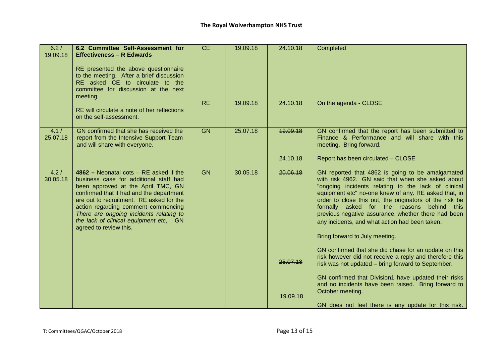| 6.2/<br>19.09.18  | 6.2 Committee Self-Assessment for<br><b>Effectiveness - R Edwards</b><br>RE presented the above questionnaire                                                                                                                                                                                                                                                          | CE        | 19.09.18 | 24.10.18 | Completed                                                                                                                                                                                                                                                                                                                                                                                                                                                                |
|-------------------|------------------------------------------------------------------------------------------------------------------------------------------------------------------------------------------------------------------------------------------------------------------------------------------------------------------------------------------------------------------------|-----------|----------|----------|--------------------------------------------------------------------------------------------------------------------------------------------------------------------------------------------------------------------------------------------------------------------------------------------------------------------------------------------------------------------------------------------------------------------------------------------------------------------------|
|                   | to the meeting. After a brief discussion<br>RE asked CE to circulate to the<br>committee for discussion at the next<br>meeting.                                                                                                                                                                                                                                        |           |          |          |                                                                                                                                                                                                                                                                                                                                                                                                                                                                          |
|                   | RE will circulate a note of her reflections<br>on the self-assessment.                                                                                                                                                                                                                                                                                                 | <b>RE</b> | 19.09.18 | 24.10.18 | On the agenda - CLOSE                                                                                                                                                                                                                                                                                                                                                                                                                                                    |
| 4.1 /<br>25.07.18 | GN confirmed that she has received the<br>report from the Intensive Support Team<br>and will share with everyone.                                                                                                                                                                                                                                                      | <b>GN</b> | 25.07.18 | 19.09.18 | GN confirmed that the report has been submitted to<br>Finance & Performance and will share with this<br>meeting. Bring forward.                                                                                                                                                                                                                                                                                                                                          |
|                   |                                                                                                                                                                                                                                                                                                                                                                        |           |          | 24.10.18 | Report has been circulated - CLOSE                                                                                                                                                                                                                                                                                                                                                                                                                                       |
| 4.2/<br>30.05.18  | $4862$ – Neonatal cots – RE asked if the<br>business case for additional staff had<br>been approved at the April TMC, GN<br>confirmed that it had and the department<br>are out to recruitment. RE asked for the<br>action regarding comment commencing<br>There are ongoing incidents relating to<br>the lack of clinical equipment etc, GN<br>agreed to review this. | <b>GN</b> | 30.05.18 | 20.06.18 | GN reported that 4862 is going to be amalgamated<br>with risk 4962. GN said that when she asked about<br>"ongoing incidents relating to the lack of clinical<br>equipment etc" no-one knew of any. RE asked that, in<br>order to close this out, the originators of the risk be<br>formally asked for the reasons behind this<br>previous negative assurance, whether there had been<br>any incidents, and what action had been taken.<br>Bring forward to July meeting. |
|                   |                                                                                                                                                                                                                                                                                                                                                                        |           |          | 25,07,18 | GN confirmed that she did chase for an update on this<br>risk however did not receive a reply and therefore this<br>risk was not updated - bring forward to September.                                                                                                                                                                                                                                                                                                   |
|                   |                                                                                                                                                                                                                                                                                                                                                                        |           |          | 19.09.18 | GN confirmed that Division1 have updated their risks<br>and no incidents have been raised. Bring forward to<br>October meeting.<br>GN does not feel there is any update for this risk.                                                                                                                                                                                                                                                                                   |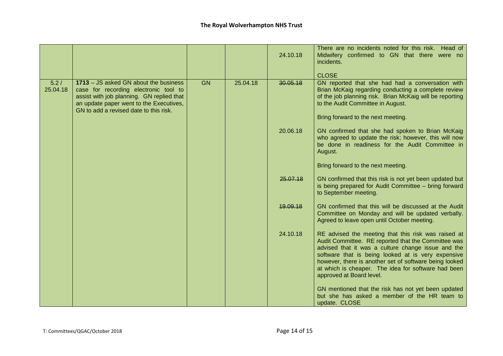|                  |                                                                                                                                                                                                                  |           |          | 24.10.18 | There are no incidents noted for this risk. Head of<br>Midwifery confirmed to GN that there were no<br>incidents.<br><b>CLOSE</b>                                                                                                                                                                                                                                   |
|------------------|------------------------------------------------------------------------------------------------------------------------------------------------------------------------------------------------------------------|-----------|----------|----------|---------------------------------------------------------------------------------------------------------------------------------------------------------------------------------------------------------------------------------------------------------------------------------------------------------------------------------------------------------------------|
| 5.2/<br>25.04.18 | 1713 - JS asked GN about the business<br>case for recording electronic tool to<br>assist with job planning. GN replied that<br>an update paper went to the Executives,<br>GN to add a revised date to this risk. | <b>GN</b> | 25.04.18 | 30.05.18 | GN reported that she had had a conversation with<br>Brian McKaig regarding conducting a complete review<br>of the job planning risk. Brian McKaig will be reporting<br>to the Audit Committee in August.<br>Bring forward to the next meeting.                                                                                                                      |
|                  |                                                                                                                                                                                                                  |           |          | 20.06.18 | GN confirmed that she had spoken to Brian McKaig<br>who agreed to update the risk; however, this will now<br>be done in readiness for the Audit Committee in<br>August.                                                                                                                                                                                             |
|                  |                                                                                                                                                                                                                  |           |          |          | Bring forward to the next meeting.                                                                                                                                                                                                                                                                                                                                  |
|                  |                                                                                                                                                                                                                  |           |          | 25.07.18 | GN confirmed that this risk is not yet been updated but<br>is being prepared for Audit Committee - bring forward<br>to September meeting.                                                                                                                                                                                                                           |
|                  |                                                                                                                                                                                                                  |           |          | 19.09.18 | GN confirmed that this will be discussed at the Audit<br>Committee on Monday and will be updated verbally.<br>Agreed to leave open until October meeting.                                                                                                                                                                                                           |
|                  |                                                                                                                                                                                                                  |           |          | 24.10.18 | RE advised the meeting that this risk was raised at<br>Audit Committee. RE reported that the Committee was<br>advised that it was a culture change issue and the<br>software that is being looked at is very expensive<br>however, there is another set of software being looked<br>at which is cheaper. The idea for software had been<br>approved at Board level. |
|                  |                                                                                                                                                                                                                  |           |          |          | GN mentioned that the risk has not yet been updated<br>but she has asked a member of the HR team to<br>update. CLOSE                                                                                                                                                                                                                                                |